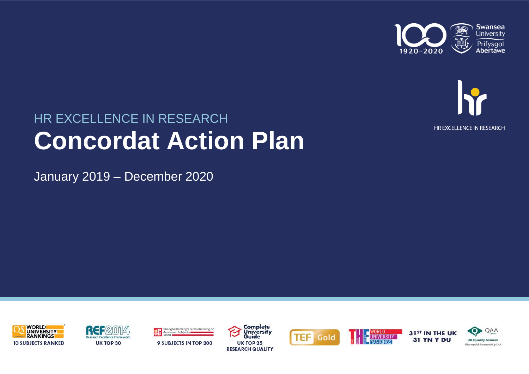



# HR EXCELLENCE IN RESEARCH **Concordat Action Plan**

January 2019 – December 2020







ShanghaiRanking's Global Ranking of





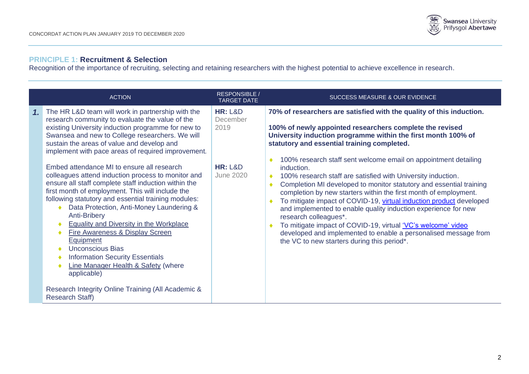

# **PRINCIPLE 1: Recruitment & Selection**

Recognition of the importance of recruiting, selecting and retaining researchers with the highest potential to achieve excellence in research.

|                | <b>ACTION</b>                                                                                                                                                                                                                                                                                                                                                                                                                                                                                                                                                                                                                                                                                                                                                                                                                                                                                                                                             | <b>RESPONSIBLE /</b><br><b>TARGET DATE</b>                                | <b>SUCCESS MEASURE &amp; OUR EVIDENCE</b>                                                                                                                                                                                                                                                                                                                                                                                                                                                                                                                                                                                                                                                                                                                                                                                                                                                                                       |
|----------------|-----------------------------------------------------------------------------------------------------------------------------------------------------------------------------------------------------------------------------------------------------------------------------------------------------------------------------------------------------------------------------------------------------------------------------------------------------------------------------------------------------------------------------------------------------------------------------------------------------------------------------------------------------------------------------------------------------------------------------------------------------------------------------------------------------------------------------------------------------------------------------------------------------------------------------------------------------------|---------------------------------------------------------------------------|---------------------------------------------------------------------------------------------------------------------------------------------------------------------------------------------------------------------------------------------------------------------------------------------------------------------------------------------------------------------------------------------------------------------------------------------------------------------------------------------------------------------------------------------------------------------------------------------------------------------------------------------------------------------------------------------------------------------------------------------------------------------------------------------------------------------------------------------------------------------------------------------------------------------------------|
| $\mathbf{1}$ . | The HR L&D team will work in partnership with the<br>research community to evaluate the value of the<br>existing University induction programme for new to<br>Swansea and new to College researchers. We will<br>sustain the areas of value and develop and<br>implement with pace areas of required improvement.<br>Embed attendance MI to ensure all research<br>colleagues attend induction process to monitor and<br>ensure all staff complete staff induction within the<br>first month of employment. This will include the<br>following statutory and essential training modules:<br>Data Protection, Anti-Money Laundering &<br><b>Anti-Bribery</b><br><b>Equality and Diversity in the Workplace</b><br>Fire Awareness & Display Screen<br>Equipment<br><b>Unconscious Bias</b><br><b>Information Security Essentials</b><br><b>Line Manager Health &amp; Safety (where</b><br>applicable)<br>Research Integrity Online Training (All Academic & | <b>HR: L&amp;D</b><br>December<br>2019<br><b>HR: L&amp;D</b><br>June 2020 | 70% of researchers are satisfied with the quality of this induction.<br>100% of newly appointed researchers complete the revised<br>University induction programme within the first month 100% of<br>statutory and essential training completed.<br>100% research staff sent welcome email on appointment detailing<br>induction.<br>100% research staff are satisfied with University induction.<br>$\bullet$<br>Completion MI developed to monitor statutory and essential training<br>٠<br>completion by new starters within the first month of employment.<br>To mitigate impact of COVID-19, virtual induction product developed<br>and implemented to enable quality induction experience for new<br>research colleagues*.<br>To mitigate impact of COVID-19, virtual 'VC's welcome' video<br>$\bullet$<br>developed and implemented to enable a personalised message from<br>the VC to new starters during this period*. |
|                | <b>Research Staff)</b>                                                                                                                                                                                                                                                                                                                                                                                                                                                                                                                                                                                                                                                                                                                                                                                                                                                                                                                                    |                                                                           |                                                                                                                                                                                                                                                                                                                                                                                                                                                                                                                                                                                                                                                                                                                                                                                                                                                                                                                                 |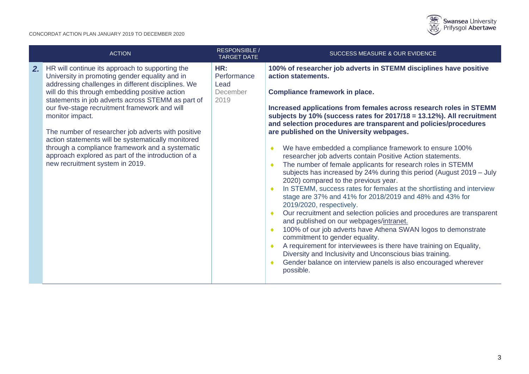

|    | <b>ACTION</b>                                                                                                                                                                                                                                                                                                                                                                                                                                                                                                                                                                              | <b>RESPONSIBLE</b><br><b>TARGET DATE</b>       | <b>SUCCESS MEASURE &amp; OUR EVIDENCE</b>                                                                                                                                                                                                                                                                                                                                                                                                                                                                                                                                                                                                                                                                                                                                                                                                                                                                                                                                                                                                                                                                                                                                                                                                                                                                                                         |
|----|--------------------------------------------------------------------------------------------------------------------------------------------------------------------------------------------------------------------------------------------------------------------------------------------------------------------------------------------------------------------------------------------------------------------------------------------------------------------------------------------------------------------------------------------------------------------------------------------|------------------------------------------------|---------------------------------------------------------------------------------------------------------------------------------------------------------------------------------------------------------------------------------------------------------------------------------------------------------------------------------------------------------------------------------------------------------------------------------------------------------------------------------------------------------------------------------------------------------------------------------------------------------------------------------------------------------------------------------------------------------------------------------------------------------------------------------------------------------------------------------------------------------------------------------------------------------------------------------------------------------------------------------------------------------------------------------------------------------------------------------------------------------------------------------------------------------------------------------------------------------------------------------------------------------------------------------------------------------------------------------------------------|
| 2. | HR will continue its approach to supporting the<br>University in promoting gender equality and in<br>addressing challenges in different disciplines. We<br>will do this through embedding positive action<br>statements in job adverts across STEMM as part of<br>our five-stage recruitment framework and will<br>monitor impact.<br>The number of researcher job adverts with positive<br>action statements will be systematically monitored<br>through a compliance framework and a systematic<br>approach explored as part of the introduction of a<br>new recruitment system in 2019. | HR:<br>Performance<br>Lead<br>December<br>2019 | 100% of researcher job adverts in STEMM disciplines have positive<br>action statements.<br><b>Compliance framework in place.</b><br>Increased applications from females across research roles in STEMM<br>subjects by 10% (success rates for 2017/18 = 13.12%). All recruitment<br>and selection procedures are transparent and policies/procedures<br>are published on the University webpages.<br>We have embedded a compliance framework to ensure 100%<br>researcher job adverts contain Positive Action statements.<br>The number of female applicants for research roles in STEMM<br>$\blacklozenge$<br>subjects has increased by 24% during this period (August 2019 - July<br>2020) compared to the previous year.<br>In STEMM, success rates for females at the shortlisting and interview<br>۰<br>stage are 37% and 41% for 2018/2019 and 48% and 43% for<br>2019/2020, respectively.<br>Our recruitment and selection policies and procedures are transparent<br>۰<br>and published on our webpages/intranet.<br>100% of our job adverts have Athena SWAN logos to demonstrate<br>commitment to gender equality.<br>A requirement for interviewees is there have training on Equality,<br>۰<br>Diversity and Inclusivity and Unconscious bias training.<br>Gender balance on interview panels is also encouraged wherever<br>possible. |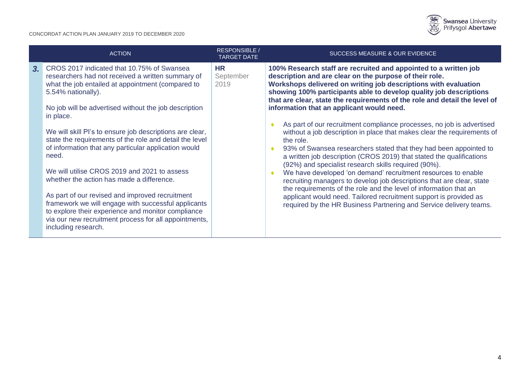

| <b>ACTION</b>                                                                                                                                                                                                                                                                                                                                                                                                                                                                                                                                                                                                                                                                                                                                                                            | <b>RESPONSIBLE</b><br><b>TARGET DATE</b> | SUCCESS MEASURE & OUR EVIDENCE                                                                                                                                                                                                                                                                                                                                                                                                                                                                                                                                                                                                                                                                                                                                                                                                                                                                                                                                                                                                                                                                                                                    |
|------------------------------------------------------------------------------------------------------------------------------------------------------------------------------------------------------------------------------------------------------------------------------------------------------------------------------------------------------------------------------------------------------------------------------------------------------------------------------------------------------------------------------------------------------------------------------------------------------------------------------------------------------------------------------------------------------------------------------------------------------------------------------------------|------------------------------------------|---------------------------------------------------------------------------------------------------------------------------------------------------------------------------------------------------------------------------------------------------------------------------------------------------------------------------------------------------------------------------------------------------------------------------------------------------------------------------------------------------------------------------------------------------------------------------------------------------------------------------------------------------------------------------------------------------------------------------------------------------------------------------------------------------------------------------------------------------------------------------------------------------------------------------------------------------------------------------------------------------------------------------------------------------------------------------------------------------------------------------------------------------|
| 3. CROS 2017 indicated that 10.75% of Swansea<br>researchers had not received a written summary of<br>what the job entailed at appointment (compared to<br>5.54% nationally).<br>No job will be advertised without the job description<br>in place.<br>We will skill PI's to ensure job descriptions are clear,<br>state the requirements of the role and detail the level<br>of information that any particular application would<br>need.<br>We will utilise CROS 2019 and 2021 to assess<br>whether the action has made a difference.<br>As part of our revised and improved recruitment<br>framework we will engage with successful applicants<br>to explore their experience and monitor compliance<br>via our new recruitment process for all appointments,<br>including research. | <b>HR</b><br>September<br>2019           | 100% Research staff are recruited and appointed to a written job<br>description and are clear on the purpose of their role.<br>Workshops delivered on writing job descriptions with evaluation<br>showing 100% participants able to develop quality job descriptions<br>that are clear, state the requirements of the role and detail the level of<br>information that an applicant would need.<br>As part of our recruitment compliance processes, no job is advertised<br>without a job description in place that makes clear the requirements of<br>the role.<br>93% of Swansea researchers stated that they had been appointed to<br>$\bullet$<br>a written job description (CROS 2019) that stated the qualifications<br>(92%) and specialist research skills required (90%).<br>We have developed 'on demand' recruitment resources to enable<br>۰<br>recruiting managers to develop job descriptions that are clear, state<br>the requirements of the role and the level of information that an<br>applicant would need. Tailored recruitment support is provided as<br>required by the HR Business Partnering and Service delivery teams. |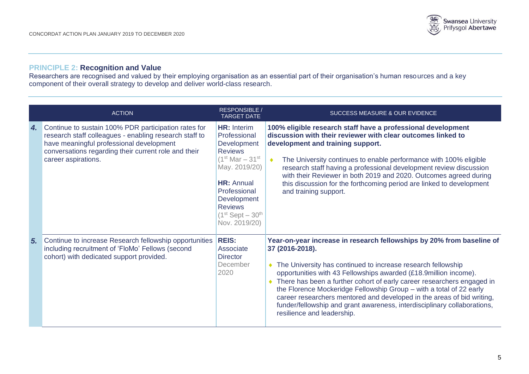

# **PRINCIPLE 2: Recognition and Value**

Researchers are recognised and valued by their employing organisation as an essential part of their organisation's human resources and a key component of their overall strategy to develop and deliver world-class research.

|    | <b>ACTION</b>                                                                                                                                                                                                                             | <b>RESPONSIBLE /</b><br><b>TARGET DATE</b>                                                                                                                                                                                     | SUCCESS MEASURE & OUR EVIDENCE                                                                                                                                                                                                                                                                                                                                                                                                                                                                                                                                                              |
|----|-------------------------------------------------------------------------------------------------------------------------------------------------------------------------------------------------------------------------------------------|--------------------------------------------------------------------------------------------------------------------------------------------------------------------------------------------------------------------------------|---------------------------------------------------------------------------------------------------------------------------------------------------------------------------------------------------------------------------------------------------------------------------------------------------------------------------------------------------------------------------------------------------------------------------------------------------------------------------------------------------------------------------------------------------------------------------------------------|
| 4. | Continue to sustain 100% PDR participation rates for<br>research staff colleagues - enabling research staff to<br>have meaningful professional development<br>conversations regarding their current role and their<br>career aspirations. | <b>HR: Interim</b><br>Professional<br>Development<br><b>Reviews</b><br>$(1^{st}$ Mar $-31^{st}$<br>May. 2019/20)<br><b>HR: Annual</b><br>Professional<br>Development<br><b>Reviews</b><br>$(1st$ Sept $-30th$<br>Nov. 2019/20) | 100% eligible research staff have a professional development<br>discussion with their reviewer with clear outcomes linked to<br>development and training support.<br>The University continues to enable performance with 100% eligible<br>$\blacklozenge$<br>research staff having a professional development review discussion<br>with their Reviewer in both 2019 and 2020. Outcomes agreed during<br>this discussion for the forthcoming period are linked to development<br>and training support.                                                                                       |
| 5. | Continue to increase Research fellowship opportunities<br>including recruitment of 'FloMo' Fellows (second<br>cohort) with dedicated support provided.                                                                                    | <b>REIS:</b><br>Associate<br><b>Director</b><br>December<br>2020                                                                                                                                                               | Year-on-year increase in research fellowships by 20% from baseline of<br>37 (2016-2018).<br>The University has continued to increase research fellowship<br>$\bullet$<br>opportunities with 43 Fellowships awarded (£18.9million income).<br>There has been a further cohort of early career researchers engaged in<br>$\bullet$<br>the Florence Mockeridge Fellowship Group - with a total of 22 early<br>career researchers mentored and developed in the areas of bid writing,<br>funder/fellowship and grant awareness, interdisciplinary collaborations,<br>resilience and leadership. |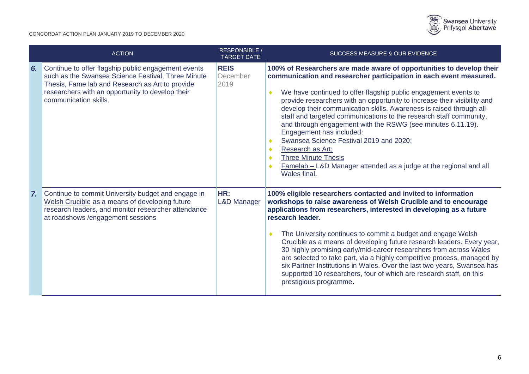

|    | <b>ACTION</b>                                                                                                                                                                                                                             | <b>RESPONSIBLE /</b><br><b>TARGET DATE</b> | SUCCESS MEASURE & OUR EVIDENCE                                                                                                                                                                                                                                                                                                                                                                                                                                                                                                                                                                                                                                                                                                            |
|----|-------------------------------------------------------------------------------------------------------------------------------------------------------------------------------------------------------------------------------------------|--------------------------------------------|-------------------------------------------------------------------------------------------------------------------------------------------------------------------------------------------------------------------------------------------------------------------------------------------------------------------------------------------------------------------------------------------------------------------------------------------------------------------------------------------------------------------------------------------------------------------------------------------------------------------------------------------------------------------------------------------------------------------------------------------|
| 6. | Continue to offer flagship public engagement events<br>such as the Swansea Science Festival, Three Minute<br>Thesis, Fame lab and Research as Art to provide<br>researchers with an opportunity to develop their<br>communication skills. | <b>REIS</b><br>December<br>2019            | 100% of Researchers are made aware of opportunities to develop their<br>communication and researcher participation in each event measured.<br>We have continued to offer flagship public engagement events to<br>۰<br>provide researchers with an opportunity to increase their visibility and<br>develop their communication skills. Awareness is raised through all-<br>staff and targeted communications to the research staff community,<br>and through engagement with the RSWG (see minutes 6.11.19).<br>Engagement has included:<br>Swansea Science Festival 2019 and 2020;<br>Research as Art;<br><b>Three Minute Thesis</b><br>٠<br><b>Famelab – L&amp;D Manager attended as a judge at the regional and all</b><br>Wales final. |
|    | 7. Continue to commit University budget and engage in<br>Welsh Crucible as a means of developing future<br>research leaders, and monitor researcher attendance<br>at roadshows /engagement sessions                                       | HR:<br><b>L&amp;D Manager</b>              | 100% eligible researchers contacted and invited to information<br>workshops to raise awareness of Welsh Crucible and to encourage<br>applications from researchers, interested in developing as a future<br>research leader.<br>The University continues to commit a budget and engage Welsh<br>۰<br>Crucible as a means of developing future research leaders. Every year,<br>30 highly promising early/mid-career researchers from across Wales<br>are selected to take part, via a highly competitive process, managed by<br>six Partner Institutions in Wales. Over the last two years, Swansea has<br>supported 10 researchers, four of which are research staff, on this<br>prestigious programme.                                  |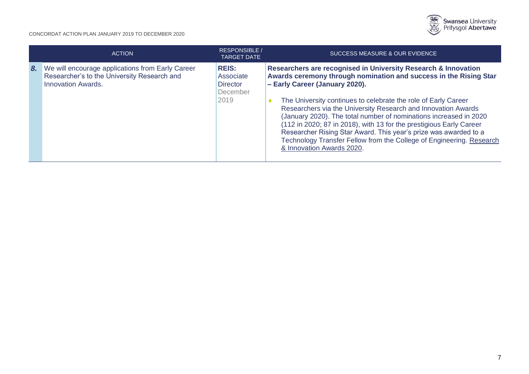

|    | <b>ACTION</b>                                                                                                                | <b>RESPONSIBLE</b><br><b>TARGET DATE</b>                         | <b>SUCCESS MEASURE &amp; OUR EVIDENCE</b>                                                                                                                                                                                                                                                                                                                                                                                                                                                                                                                                                                                     |
|----|------------------------------------------------------------------------------------------------------------------------------|------------------------------------------------------------------|-------------------------------------------------------------------------------------------------------------------------------------------------------------------------------------------------------------------------------------------------------------------------------------------------------------------------------------------------------------------------------------------------------------------------------------------------------------------------------------------------------------------------------------------------------------------------------------------------------------------------------|
| 8. | We will encourage applications from Early Career<br>Researcher's to the University Research and<br><b>Innovation Awards.</b> | <b>REIS:</b><br>Associate<br><b>Director</b><br>December<br>2019 | Researchers are recognised in University Research & Innovation<br>Awards ceremony through nomination and success in the Rising Star<br>- Early Career (January 2020).<br>The University continues to celebrate the role of Early Career<br>Researchers via the University Research and Innovation Awards<br>(January 2020). The total number of nominations increased in 2020<br>(112 in 2020; 87 in 2018), with 13 for the prestigious Early Career<br>Researcher Rising Star Award. This year's prize was awarded to a<br>Technology Transfer Fellow from the College of Engineering. Research<br>& Innovation Awards 2020. |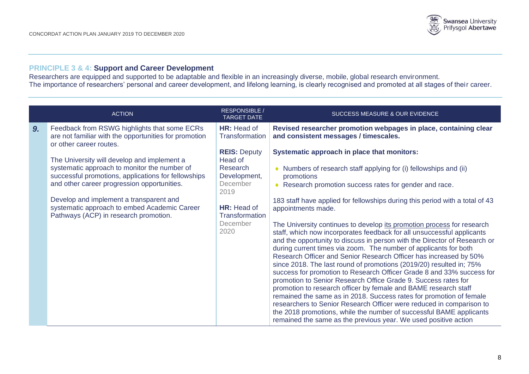

# **PRINCIPLE 3 & 4: Support and Career Development**

Researchers are equipped and supported to be adaptable and flexible in an increasingly diverse, mobile, global research environment. The importance of researchers' personal and career development, and lifelong learning, is clearly recognised and promoted at all stages of their career.

|    | <b>ACTION</b>                                                                                                                                                                                                                                                                                                                         | <b>RESPONSIBLE /</b><br><b>TARGET DATE</b>                                                                                          | <b>SUCCESS MEASURE &amp; OUR EVIDENCE</b>                                                                                                                                                                                                                                                                                                                                                                                                                                                                                                                                                                                                                                                                                                                                                                                                                                                                                                                                                                                                                                                                                                                                            |
|----|---------------------------------------------------------------------------------------------------------------------------------------------------------------------------------------------------------------------------------------------------------------------------------------------------------------------------------------|-------------------------------------------------------------------------------------------------------------------------------------|--------------------------------------------------------------------------------------------------------------------------------------------------------------------------------------------------------------------------------------------------------------------------------------------------------------------------------------------------------------------------------------------------------------------------------------------------------------------------------------------------------------------------------------------------------------------------------------------------------------------------------------------------------------------------------------------------------------------------------------------------------------------------------------------------------------------------------------------------------------------------------------------------------------------------------------------------------------------------------------------------------------------------------------------------------------------------------------------------------------------------------------------------------------------------------------|
| 9. | Feedback from RSWG highlights that some ECRs<br>are not familiar with the opportunities for promotion<br>or other career routes.                                                                                                                                                                                                      | HR: Head of<br>Transformation                                                                                                       | Revised researcher promotion webpages in place, containing clear<br>and consistent messages / timescales.                                                                                                                                                                                                                                                                                                                                                                                                                                                                                                                                                                                                                                                                                                                                                                                                                                                                                                                                                                                                                                                                            |
|    | The University will develop and implement a<br>systematic approach to monitor the number of<br>successful promotions, applications for fellowships<br>and other career progression opportunities.<br>Develop and implement a transparent and<br>systematic approach to embed Academic Career<br>Pathways (ACP) in research promotion. | <b>REIS: Deputy</b><br>Head of<br>Research<br>Development,<br>December<br>2019<br>HR: Head of<br>Transformation<br>December<br>2020 | Systematic approach in place that monitors:<br>• Numbers of research staff applying for (i) fellowships and (ii)<br>promotions<br>◆ Research promotion success rates for gender and race.<br>183 staff have applied for fellowships during this period with a total of 43<br>appointments made.<br>The University continues to develop its promotion process for research<br>staff, which now incorporates feedback for all unsuccessful applicants<br>and the opportunity to discuss in person with the Director of Research or<br>during current times via zoom. The number of applicants for both<br>Research Officer and Senior Research Officer has increased by 50%<br>since 2018. The last round of promotions (2019/20) resulted in; 75%<br>success for promotion to Research Officer Grade 8 and 33% success for<br>promotion to Senior Research Office Grade 9. Success rates for<br>promotion to research officer by female and BAME research staff<br>remained the same as in 2018. Success rates for promotion of female<br>researchers to Senior Research Officer were reduced in comparison to<br>the 2018 promotions, while the number of successful BAME applicants |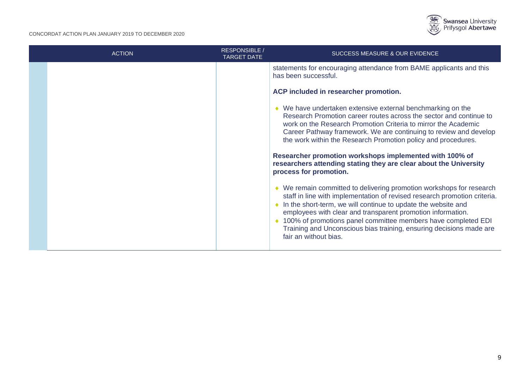

| <b>ACTION</b> | <b>RESPONSIBLE</b><br><b>TARGET DATE</b> | <b>SUCCESS MEASURE &amp; OUR EVIDENCE</b>                                                                                                                                                                                                                                                                                                                                                                                                              |
|---------------|------------------------------------------|--------------------------------------------------------------------------------------------------------------------------------------------------------------------------------------------------------------------------------------------------------------------------------------------------------------------------------------------------------------------------------------------------------------------------------------------------------|
|               |                                          | statements for encouraging attendance from BAME applicants and this<br>has been successful.                                                                                                                                                                                                                                                                                                                                                            |
|               |                                          | ACP included in researcher promotion.                                                                                                                                                                                                                                                                                                                                                                                                                  |
|               |                                          | ♦ We have undertaken extensive external benchmarking on the<br>Research Promotion career routes across the sector and continue to<br>work on the Research Promotion Criteria to mirror the Academic<br>Career Pathway framework. We are continuing to review and develop<br>the work within the Research Promotion policy and procedures.                                                                                                              |
|               |                                          | Researcher promotion workshops implemented with 100% of<br>researchers attending stating they are clear about the University<br>process for promotion.                                                                                                                                                                                                                                                                                                 |
|               |                                          | ♦ We remain committed to delivering promotion workshops for research<br>staff in line with implementation of revised research promotion criteria.<br>• In the short-term, we will continue to update the website and<br>employees with clear and transparent promotion information.<br>◆ 100% of promotions panel committee members have completed EDI<br>Training and Unconscious bias training, ensuring decisions made are<br>fair an without bias. |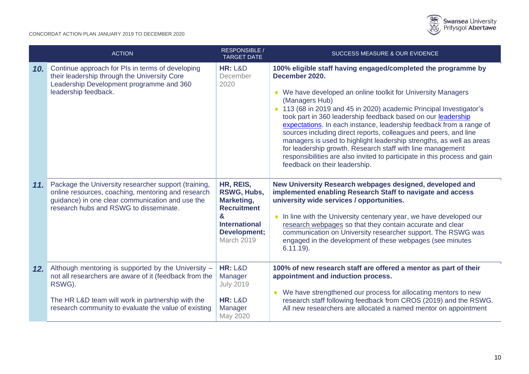

|       | <b>ACTION</b>                                                                                                                                                                                                                        | <b>RESPONSIBLE /</b><br><b>TARGET DATE</b>                                                                              | SUCCESS MEASURE & OUR EVIDENCE                                                                                                                                                                                                                                                                                                                                                                                                                                                                                                                                                                                                                                                                           |
|-------|--------------------------------------------------------------------------------------------------------------------------------------------------------------------------------------------------------------------------------------|-------------------------------------------------------------------------------------------------------------------------|----------------------------------------------------------------------------------------------------------------------------------------------------------------------------------------------------------------------------------------------------------------------------------------------------------------------------------------------------------------------------------------------------------------------------------------------------------------------------------------------------------------------------------------------------------------------------------------------------------------------------------------------------------------------------------------------------------|
| 10. l | Continue approach for PIs in terms of developing<br>their leadership through the University Core<br>Leadership Development programme and 360<br>leadership feedback.                                                                 | <b>HR: L&amp;D</b><br>December<br>2020                                                                                  | 100% eligible staff having engaged/completed the programme by<br>December 2020.<br>◆ We have developed an online toolkit for University Managers<br>(Managers Hub)<br>◆ 113 (68 in 2019 and 45 in 2020) academic Principal Investigator's<br>took part in 360 leadership feedback based on our leadership<br>expectations. In each instance, leadership feedback from a range of<br>sources including direct reports, colleagues and peers, and line<br>managers is used to highlight leadership strengths, as well as areas<br>for leadership growth. Research staff with line management<br>responsibilities are also invited to participate in this process and gain<br>feedback on their leadership. |
| 11.   | Package the University researcher support (training,<br>online resources, coaching, mentoring and research<br>guidance) in one clear communication and use the<br>research hubs and RSWG to disseminate.                             | HR, REIS,<br>RSWG, Hubs,<br>Marketing,<br><b>Recruitment</b><br>&<br><b>International</b><br>Development;<br>March 2019 | New University Research webpages designed, developed and<br>implemented enabling Research Staff to navigate and access<br>university wide services / opportunities.<br>• In line with the University centenary year, we have developed our<br>research webpages so that they contain accurate and clear<br>communication on University researcher support. The RSWG was<br>engaged in the development of these webpages (see minutes<br>$6.11.19$ ).                                                                                                                                                                                                                                                     |
| 12.   | Although mentoring is supported by the University -<br>not all researchers are aware of it (feedback from the<br>RSWG).<br>The HR L&D team will work in partnership with the<br>research community to evaluate the value of existing | <b>HR: L&amp;D</b><br>Manager<br><b>July 2019</b><br><b>HR: L&amp;D</b><br>Manager<br>May 2020                          | 100% of new research staff are offered a mentor as part of their<br>appointment and induction process.<br>• We have strengthened our process for allocating mentors to new<br>research staff following feedback from CROS (2019) and the RSWG.<br>All new researchers are allocated a named mentor on appointment                                                                                                                                                                                                                                                                                                                                                                                        |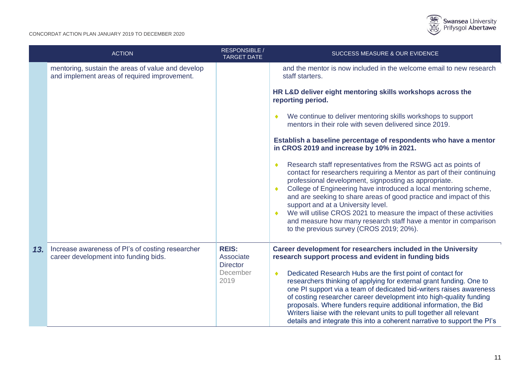

|     | <b>ACTION</b>                                                                                     | RESPONSIBLE /<br><b>TARGET DATE</b>                              | SUCCESS MEASURE & OUR EVIDENCE                                                                                                                                                                                                                                                                                                                                                                                                                                                                                                                                                                                                       |
|-----|---------------------------------------------------------------------------------------------------|------------------------------------------------------------------|--------------------------------------------------------------------------------------------------------------------------------------------------------------------------------------------------------------------------------------------------------------------------------------------------------------------------------------------------------------------------------------------------------------------------------------------------------------------------------------------------------------------------------------------------------------------------------------------------------------------------------------|
|     | mentoring, sustain the areas of value and develop<br>and implement areas of required improvement. |                                                                  | and the mentor is now included in the welcome email to new research<br>staff starters.                                                                                                                                                                                                                                                                                                                                                                                                                                                                                                                                               |
|     |                                                                                                   |                                                                  | HR L&D deliver eight mentoring skills workshops across the<br>reporting period.                                                                                                                                                                                                                                                                                                                                                                                                                                                                                                                                                      |
|     |                                                                                                   |                                                                  | We continue to deliver mentoring skills workshops to support<br>mentors in their role with seven delivered since 2019.                                                                                                                                                                                                                                                                                                                                                                                                                                                                                                               |
|     |                                                                                                   |                                                                  | Establish a baseline percentage of respondents who have a mentor<br>in CROS 2019 and increase by 10% in 2021.                                                                                                                                                                                                                                                                                                                                                                                                                                                                                                                        |
|     |                                                                                                   |                                                                  | Research staff representatives from the RSWG act as points of<br>contact for researchers requiring a Mentor as part of their continuing<br>professional development, signposting as appropriate.<br>College of Engineering have introduced a local mentoring scheme,<br>and are seeking to share areas of good practice and impact of this<br>support and at a University level.<br>We will utilise CROS 2021 to measure the impact of these activities<br>and measure how many research staff have a mentor in comparison<br>to the previous survey (CROS 2019; 20%).                                                               |
| 13. | Increase awareness of PI's of costing researcher<br>career development into funding bids.         | <b>REIS:</b><br>Associate<br><b>Director</b><br>December<br>2019 | Career development for researchers included in the University<br>research support process and evident in funding bids<br>Dedicated Research Hubs are the first point of contact for<br>۰<br>researchers thinking of applying for external grant funding. One to<br>one PI support via a team of dedicated bid-writers raises awareness<br>of costing researcher career development into high-quality funding<br>proposals. Where funders require additional information, the Bid<br>Writers liaise with the relevant units to pull together all relevant<br>details and integrate this into a coherent narrative to support the PI's |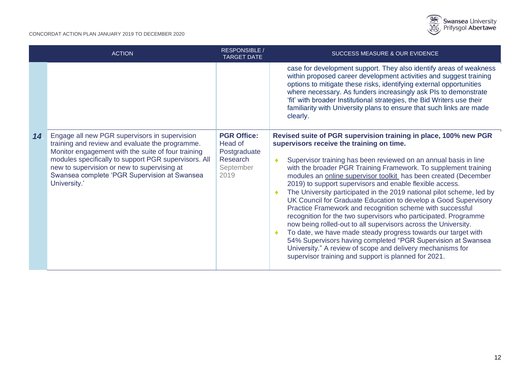

|    | <b>ACTION</b>                                                                                                                                                                                                                                                                                                                 | <b>RESPONSIBLE</b><br><b>TARGET DATE</b>                                       | <b>SUCCESS MEASURE &amp; OUR EVIDENCE</b>                                                                                                                                                                                                                                                                                                                                                                                                                                                                                                                                                                                                                                                                                                                                                                                                                                                                                                                                                             |
|----|-------------------------------------------------------------------------------------------------------------------------------------------------------------------------------------------------------------------------------------------------------------------------------------------------------------------------------|--------------------------------------------------------------------------------|-------------------------------------------------------------------------------------------------------------------------------------------------------------------------------------------------------------------------------------------------------------------------------------------------------------------------------------------------------------------------------------------------------------------------------------------------------------------------------------------------------------------------------------------------------------------------------------------------------------------------------------------------------------------------------------------------------------------------------------------------------------------------------------------------------------------------------------------------------------------------------------------------------------------------------------------------------------------------------------------------------|
|    |                                                                                                                                                                                                                                                                                                                               |                                                                                | case for development support. They also identify areas of weakness<br>within proposed career development activities and suggest training<br>options to mitigate these risks, identifying external opportunities<br>where necessary. As funders increasingly ask PIs to demonstrate<br>'fit' with broader Institutional strategies, the Bid Writers use their<br>familiarity with University plans to ensure that such links are made<br>clearly.                                                                                                                                                                                                                                                                                                                                                                                                                                                                                                                                                      |
| 14 | Engage all new PGR supervisors in supervision<br>training and review and evaluate the programme.<br>Monitor engagement with the suite of four training<br>modules specifically to support PGR supervisors. All<br>new to supervision or new to supervising at<br>Swansea complete 'PGR Supervision at Swansea<br>University.' | <b>PGR Office:</b><br>Head of<br>Postgraduate<br>Research<br>September<br>2019 | Revised suite of PGR supervision training in place, 100% new PGR<br>supervisors receive the training on time.<br>Supervisor training has been reviewed on an annual basis in line<br>$\bullet$<br>with the broader PGR Training Framework. To supplement training<br>modules an online supervisor toolkit has been created (December<br>2019) to support supervisors and enable flexible access.<br>The University participated in the 2019 national pilot scheme, led by<br>UK Council for Graduate Education to develop a Good Supervisory<br>Practice Framework and recognition scheme with successful<br>recognition for the two supervisors who participated. Programme<br>now being rolled-out to all supervisors across the University.<br>To date, we have made steady progress towards our target with<br>54% Supervisors having completed "PGR Supervision at Swansea<br>University." A review of scope and delivery mechanisms for<br>supervisor training and support is planned for 2021. |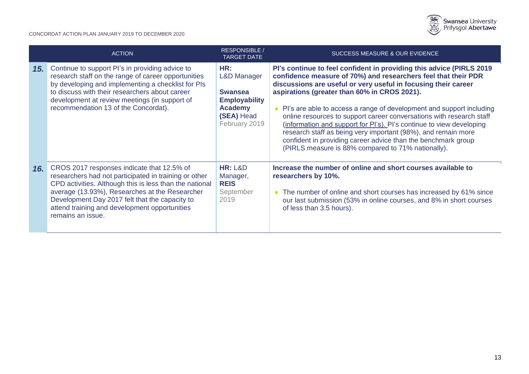

|     | <b>ACTION</b>                                                                                                                                                                                                                                                                                                                            | RESPONSIBLE /<br><b>TARGET DATE</b>                                                                                      | SUCCESS MEASURE & OUR EVIDENCE                                                                                                                                                                                                                                                                                                                                                                                                                                                                                                                                                                                                                                             |
|-----|------------------------------------------------------------------------------------------------------------------------------------------------------------------------------------------------------------------------------------------------------------------------------------------------------------------------------------------|--------------------------------------------------------------------------------------------------------------------------|----------------------------------------------------------------------------------------------------------------------------------------------------------------------------------------------------------------------------------------------------------------------------------------------------------------------------------------------------------------------------------------------------------------------------------------------------------------------------------------------------------------------------------------------------------------------------------------------------------------------------------------------------------------------------|
| 15. | Continue to support PI's in providing advice to<br>research staff on the range of career opportunities<br>by developing and implementing a checklist for PIs<br>to discuss with their researchers about career<br>development at review meetings (in support of<br>recommendation 13 of the Concordat).                                  | HR:<br><b>L&amp;D Manager</b><br><b>Swansea</b><br><b>Employability</b><br><b>Academy</b><br>(SEA) Head<br>February 2019 | PI's continue to feel confident in providing this advice (PIRLS 2019<br>confidence measure of 70%) and researchers feel that their PDR<br>discussions are useful or very useful in focusing their career<br>aspirations (greater than 60% in CROS 2021).<br>• Pl's are able to access a range of development and support including<br>online resources to support career conversations with research staff<br>(information and support for PI's). PI's continue to view developing<br>research staff as being very important (98%), and remain more<br>confident in providing career advice than the benchmark group<br>(PIRLS measure is 88% compared to 71% nationally). |
| 16. | CROS 2017 responses indicate that 12.5% of<br>researchers had not participated in training or other<br>CPD activities. Although this is less than the national<br>average (13.93%), Researches at the Researcher<br>Development Day 2017 felt that the capacity to<br>attend training and development opportunities<br>remains an issue. | <b>HR: L&amp;D</b><br>Manager,<br><b>REIS</b><br>September<br>2019                                                       | Increase the number of online and short courses available to<br>researchers by 10%.<br>• The number of online and short courses has increased by 61% since<br>our last submission (53% in online courses, and 8% in short courses<br>of less than 3.5 hours).                                                                                                                                                                                                                                                                                                                                                                                                              |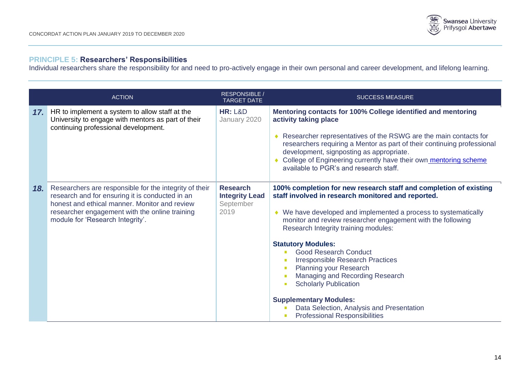

# **PRINCIPLE 5: Researchers' Responsibilities**

Individual researchers share the responsibility for and need to pro-actively engage in their own personal and career development, and lifelong learning.

|     | <b>ACTION</b>                                                                                                                                                                                                                                    | <b>RESPONSIBLE /</b><br><b>TARGET DATE</b>                    | <b>SUCCESS MEASURE</b>                                                                                                                                                                                                                                                                                                                                                                                                                                                                                                                                                                                                                              |
|-----|--------------------------------------------------------------------------------------------------------------------------------------------------------------------------------------------------------------------------------------------------|---------------------------------------------------------------|-----------------------------------------------------------------------------------------------------------------------------------------------------------------------------------------------------------------------------------------------------------------------------------------------------------------------------------------------------------------------------------------------------------------------------------------------------------------------------------------------------------------------------------------------------------------------------------------------------------------------------------------------------|
| 17. | HR to implement a system to allow staff at the<br>University to engage with mentors as part of their<br>continuing professional development.                                                                                                     | <b>HR: L&amp;D</b><br>January 2020                            | Mentoring contacts for 100% College identified and mentoring<br>activity taking place<br>Researcher representatives of the RSWG are the main contacts for<br>researchers requiring a Mentor as part of their continuing professional<br>development, signposting as appropriate.<br>College of Engineering currently have their own mentoring scheme<br>available to PGR's and research staff.                                                                                                                                                                                                                                                      |
| 18. | Researchers are responsible for the integrity of their<br>research and for ensuring it is conducted in an<br>honest and ethical manner. Monitor and review<br>researcher engagement with the online training<br>module for 'Research Integrity'. | <b>Research</b><br><b>Integrity Lead</b><br>September<br>2019 | 100% completion for new research staff and completion of existing<br>staff involved in research monitored and reported.<br>• We have developed and implemented a process to systematically<br>monitor and review researcher engagement with the following<br>Research Integrity training modules:<br><b>Statutory Modules:</b><br><b>Good Research Conduct</b><br><b>Irresponsible Research Practices</b><br><b>Planning your Research</b><br>Managing and Recording Research<br><b>Scholarly Publication</b><br>$\mathbf{r}$<br><b>Supplementary Modules:</b><br>Data Selection, Analysis and Presentation<br><b>Professional Responsibilities</b> |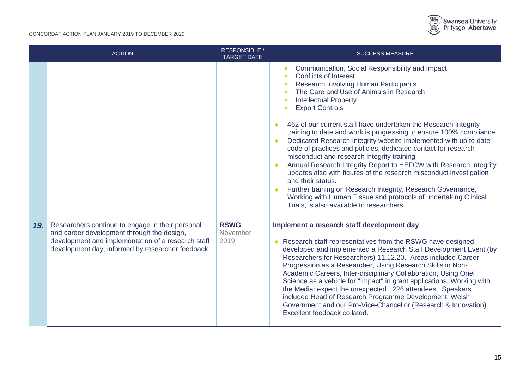

|     | <b>ACTION</b>                                                                                                                                                                                             | <b>RESPONSIBLE /</b><br><b>TARGET DATE</b> | <b>SUCCESS MEASURE</b>                                                                                                                                                                                                                                                                                                                                                                                                                                                                                                                                                                                                                                                                                                                                                                                                                                                                                                                                                                                      |
|-----|-----------------------------------------------------------------------------------------------------------------------------------------------------------------------------------------------------------|--------------------------------------------|-------------------------------------------------------------------------------------------------------------------------------------------------------------------------------------------------------------------------------------------------------------------------------------------------------------------------------------------------------------------------------------------------------------------------------------------------------------------------------------------------------------------------------------------------------------------------------------------------------------------------------------------------------------------------------------------------------------------------------------------------------------------------------------------------------------------------------------------------------------------------------------------------------------------------------------------------------------------------------------------------------------|
|     |                                                                                                                                                                                                           |                                            | Communication, Social Responsibility and Impact<br>$\blacksquare$<br><b>Conflicts of Interest</b><br>$\blacksquare$<br>Research Involving Human Participants<br>$\mathcal{L}_{\mathcal{A}}$<br>The Care and Use of Animals in Research<br>п<br><b>Intellectual Property</b><br>п<br><b>Export Controls</b><br>п<br>462 of our current staff have undertaken the Research Integrity<br>training to date and work is progressing to ensure 100% compliance.<br>Dedicated Research Integrity website implemented with up to date<br>$\bullet$<br>code of practices and policies, dedicated contact for research<br>misconduct and research integrity training.<br>Annual Research Integrity Report to HEFCW with Research Integrity<br>updates also with figures of the research misconduct investigation<br>and their status.<br>Further training on Research Integrity, Research Governance,<br>Working with Human Tissue and protocols of undertaking Clinical<br>Trials, is also available to researchers. |
| 19. | Researchers continue to engage in their personal<br>and career development through the design,<br>development and implementation of a research staff<br>development day, informed by researcher feedback. | <b>RSWG</b><br>November<br>2019            | Implement a research staff development day<br>◆ Research staff representatives from the RSWG have designed,<br>developed and implemented a Research Staff Development Event (by<br>Researchers for Researchers) 11.12.20. Areas included Career<br>Progression as a Researcher, Using Research Skills in Non-<br>Academic Careers, Inter-disciplinary Collaboration, Using Oriel<br>Science as a vehicle for "Impact" in grant applications, Working with<br>the Media: expect the unexpected. 226 attendees. Speakers<br>included Head of Research Programme Development, Welsh<br>Government and our Pro-Vice-Chancellor (Research & Innovation).<br>Excellent feedback collated.                                                                                                                                                                                                                                                                                                                         |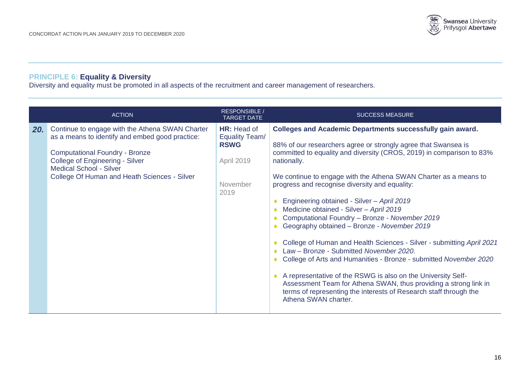

## **PRINCIPLE 6: Equality & Diversity**

Diversity and equality must be promoted in all aspects of the recruitment and career management of researchers.

|     | <b>ACTION</b>                                                                                                                                                                                                                                                           | <b>RESPONSIBLE /</b><br><b>TARGET DATE</b>                                     | <b>SUCCESS MEASURE</b>                                                                                                                                                                                                                                                                                                                                                                                                                                                                                                                                                                                                                                                                                                                                                                                                                                                                                                                                                |
|-----|-------------------------------------------------------------------------------------------------------------------------------------------------------------------------------------------------------------------------------------------------------------------------|--------------------------------------------------------------------------------|-----------------------------------------------------------------------------------------------------------------------------------------------------------------------------------------------------------------------------------------------------------------------------------------------------------------------------------------------------------------------------------------------------------------------------------------------------------------------------------------------------------------------------------------------------------------------------------------------------------------------------------------------------------------------------------------------------------------------------------------------------------------------------------------------------------------------------------------------------------------------------------------------------------------------------------------------------------------------|
| 20. | Continue to engage with the Athena SWAN Charter<br>as a means to identify and embed good practice:<br><b>Computational Foundry - Bronze</b><br><b>College of Engineering - Silver</b><br><b>Medical School - Silver</b><br>College Of Human and Heath Sciences - Silver | HR: Head of<br>Equality Team/<br><b>RSWG</b><br>April 2019<br>November<br>2019 | <b>Colleges and Academic Departments successfully gain award.</b><br>88% of our researchers agree or strongly agree that Swansea is<br>committed to equality and diversity (CROS, 2019) in comparison to 83%<br>nationally.<br>We continue to engage with the Athena SWAN Charter as a means to<br>progress and recognise diversity and equality:<br>Engineering obtained - Silver - April 2019<br>Medicine obtained - Silver - April 2019<br>Computational Foundry - Bronze - November 2019<br>Geography obtained - Bronze - November 2019<br>College of Human and Health Sciences - Silver - submitting April 2021<br>Law - Bronze - Submitted November 2020.<br>College of Arts and Humanities - Bronze - submitted November 2020<br>A representative of the RSWG is also on the University Self-<br>Assessment Team for Athena SWAN, thus providing a strong link in<br>terms of representing the interests of Research staff through the<br>Athena SWAN charter. |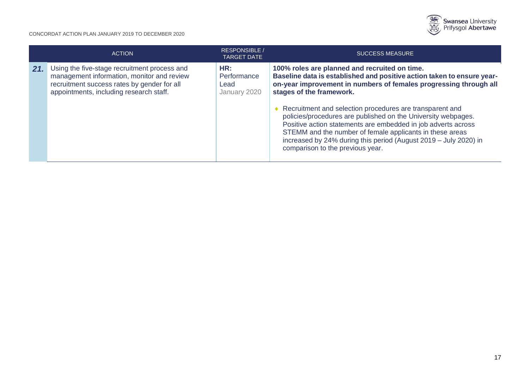

|     | <b>ACTION</b>                                                                                                                                                                        | <b>RESPONSIBLE</b><br><b>TARGET DATE</b>   | <b>SUCCESS MEASURE</b>                                                                                                                                                                                                                                                                                                                                                                                                                                                                                                                                                                       |
|-----|--------------------------------------------------------------------------------------------------------------------------------------------------------------------------------------|--------------------------------------------|----------------------------------------------------------------------------------------------------------------------------------------------------------------------------------------------------------------------------------------------------------------------------------------------------------------------------------------------------------------------------------------------------------------------------------------------------------------------------------------------------------------------------------------------------------------------------------------------|
| 21. | Using the five-stage recruitment process and<br>management information, monitor and review<br>recruitment success rates by gender for all<br>appointments, including research staff. | HR:<br>Performance<br>Lead<br>January 2020 | 100% roles are planned and recruited on time.<br>Baseline data is established and positive action taken to ensure year-<br>on-year improvement in numbers of females progressing through all<br>stages of the framework.<br>♦ Recruitment and selection procedures are transparent and<br>policies/procedures are published on the University webpages.<br>Positive action statements are embedded in job adverts across<br>STEMM and the number of female applicants in these areas<br>increased by 24% during this period (August 2019 - July 2020) in<br>comparison to the previous year. |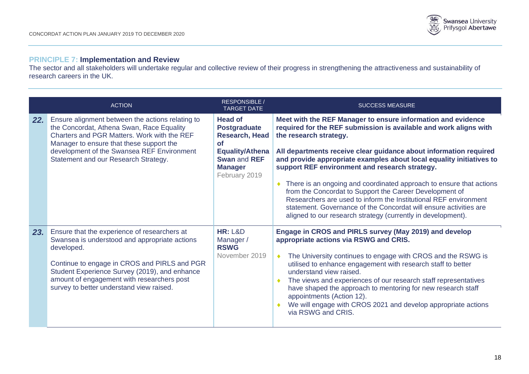

# **PRINCIPLE 7: Implementation and Review**

The sector and all stakeholders will undertake regular and collective review of their progress in strengthening the attractiveness and sustainability of research careers in the UK.

|     | <b>ACTION</b>                                                                                                                                                                                                                                                                                          | <b>RESPONSIBLE /</b><br><b>TARGET DATE</b>                                                                                                                      | <b>SUCCESS MEASURE</b>                                                                                                                                                                                                                                                                                                                                                                                                                                                                                                                                                                                                                                                                                     |
|-----|--------------------------------------------------------------------------------------------------------------------------------------------------------------------------------------------------------------------------------------------------------------------------------------------------------|-----------------------------------------------------------------------------------------------------------------------------------------------------------------|------------------------------------------------------------------------------------------------------------------------------------------------------------------------------------------------------------------------------------------------------------------------------------------------------------------------------------------------------------------------------------------------------------------------------------------------------------------------------------------------------------------------------------------------------------------------------------------------------------------------------------------------------------------------------------------------------------|
| 22. | Ensure alignment between the actions relating to<br>the Concordat, Athena Swan, Race Equality<br>Charters and PGR Matters. Work with the REF<br>Manager to ensure that these support the<br>development of the Swansea REF Environment<br>Statement and our Research Strategy.                         | <b>Head of</b><br><b>Postgraduate</b><br><b>Research, Head</b><br><b>of</b><br><b>Equality/Athena</b><br><b>Swan and REF</b><br><b>Manager</b><br>February 2019 | Meet with the REF Manager to ensure information and evidence<br>required for the REF submission is available and work aligns with<br>the research strategy.<br>All departments receive clear guidance about information required<br>and provide appropriate examples about local equality initiatives to<br>support REF environment and research strategy.<br>There is an ongoing and coordinated approach to ensure that actions<br>۰<br>from the Concordat to Support the Career Development of<br>Researchers are used to inform the Institutional REF environment<br>statement. Governance of the Concordat will ensure activities are<br>aligned to our research strategy (currently in development). |
| 23. | Ensure that the experience of researchers at<br>Swansea is understood and appropriate actions<br>developed.<br>Continue to engage in CROS and PIRLS and PGR<br>Student Experience Survey (2019), and enhance<br>amount of engagement with researchers post<br>survey to better understand view raised. | <b>HR: L&amp;D</b><br>Manager/<br><b>RSWG</b><br>November 2019                                                                                                  | Engage in CROS and PIRLS survey (May 2019) and develop<br>appropriate actions via RSWG and CRIS.<br>The University continues to engage with CROS and the RSWG is<br>utilised to enhance engagement with research staff to better<br>understand view raised.<br>The views and experiences of our research staff representatives<br>have shaped the approach to mentoring for new research staff<br>appointments (Action 12).<br>We will engage with CROS 2021 and develop appropriate actions<br>via RSWG and CRIS.                                                                                                                                                                                         |